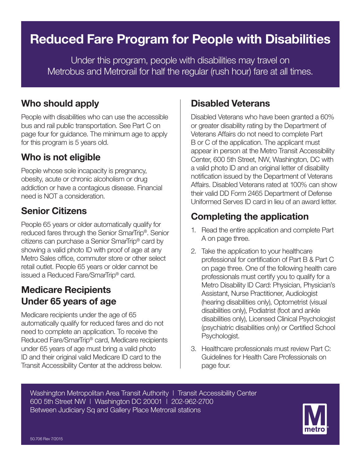# **Reduced Fare Program for People with Disabilities**

Under this program, people with disabilities may travel on Metrobus and Metrorail for half the regular (rush hour) fare at all times.

#### **Who should apply**

People with disabilities who can use the accessible bus and rail public transportation. See Part C on page four for guidance. The minimum age to apply for this program is 5 years old.

#### **Who is not eligible**

People whose sole incapacity is pregnancy, obesity, acute or chronic alcoholism or drug addiction or have a contagious disease. Financial need is NOT a consideration.

#### **Senior Citizens**

People 65 years or older automatically qualify for reduced fares through the Senior SmarTrip®. Senior citizens can purchase a Senior SmarTrip® card by showing a valid photo ID with proof of age at any Metro Sales office, commuter store or other select retail outlet. People 65 years or older cannot be issued a Reduced Fare/SmarTrip® card.

#### **Medicare Recipients Under 65 years of age**

Medicare recipients under the age of 65 automatically qualify for reduced fares and do not need to complete an application. To receive the Reduced Fare/SmarTrip® card, Medicare recipients under 65 years of age must bring a valid photo ID and their original valid Medicare ID card to the Transit Accessibility Center at the address below.

#### **Disabled Veterans**

Disabled Veterans who have been granted a 60% or greater disability rating by the Department of Veterans Affairs do not need to complete Part B or C of the application. The applicant must appear in person at the Metro Transit Accessibility Center, 600 5th Street, NW, Washington, DC with a valid photo ID and an original letter of disability notification issued by the Department of Veterans Affairs. Disabled Veterans rated at 100% can show their valid DD Form 2465 Department of Defense Uniformed Serves ID card in lieu of an award letter.

# **Completing the application**

- 1. Read the entire application and complete Part A on page three.
- 2. Take the application to your healthcare professional for certification of Part B & Part C on page three. One of the following health care professionals must certify you to qualify for a Metro Disability ID Card: Physician, Physician's Assistant, Nurse Practitioner, Audiologist (hearing disabilities only), Optometrist (visual disabilities only), Podiatrist (foot and ankle disabilities only), Licensed Clinical Psychologist (psychiatric disabilities only) or Certified School Psychologist.
- 3. Healthcare professionals must review Part C: Guidelines for Health Care Professionals on page four.

Washington Metropolitan Area Transit Authority | Transit Accessibility Center 600 5th Street NW | Washington DC 20001 | 202-962-2700 Between Judiciary Sq and Gallery Place Metrorail stations

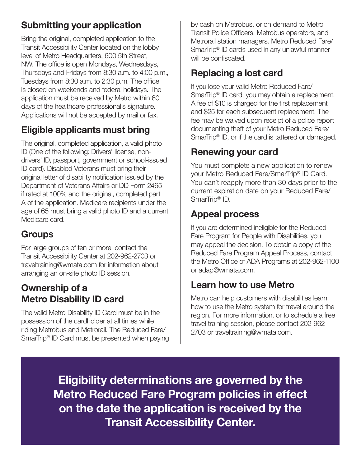# **Submitting your application**

Bring the original, completed application to the Transit Accessibility Center located on the lobby level of Metro Headquarters, 600 5th Street, NW. The office is open Mondays, Wednesdays, Thursdays and Fridays from 8:30 a.m. to 4:00 p.m., Tuesdays from 8:30 a.m. to 2:30 p.m. The office is closed on weekends and federal holidays. The application must be received by Metro within 60 days of the healthcare professional's signature. Applications will not be accepted by mail or fax.

# **Eligible applicants must bring**

The original, completed application, a valid photo ID (One of the following: Drivers' license, nondrivers' ID, passport, government or school-issued ID card). Disabled Veterans must bring their original letter of disability notification issued by the Department of Veterans Affairs or DD Form 2465 if rated at 100% and the original, completed part A of the application. Medicare recipients under the age of 65 must bring a valid photo ID and a current Medicare card.

# **Groups**

For large groups of ten or more, contact the Transit Accessibility Center at 202-962-2703 or traveltraining@wmata.com for information about arranging an on-site photo ID session.

#### **Ownership of a Metro Disability ID card**

The valid Metro Disability ID Card must be in the possession of the cardholder at all times while riding Metrobus and Metrorail. The Reduced Fare/ SmarTrip® ID Card must be presented when paying

by cash on Metrobus, or on demand to Metro Transit Police Officers, Metrobus operators, and Metrorail station managers. Metro Reduced Fare/ SmarTrip® ID cards used in any unlawful manner will be confiscated.

# **Replacing a lost card**

If you lose your valid Metro Reduced Fare/ SmarTrip<sup>®</sup> ID card, you may obtain a replacement. A fee of \$10 is charged for the first replacement and \$25 for each subsequent replacement. The fee may be waived upon receipt of a police report documenting theft of your Metro Reduced Fare/ SmarTrip<sup>®</sup> ID, or if the card is tattered or damaged.

# **Renewing your card**

You must complete a new application to renew your Metro Reduced Fare/SmarTrip® ID Card. You can't reapply more than 30 days prior to the current expiration date on your Reduced Fare/ SmarTrip® ID.

#### **Appeal process**

If you are determined ineligible for the Reduced Fare Program for People with Disabilities, you may appeal the decision. To obtain a copy of the Reduced Fare Program Appeal Process, contact the Metro Office of ADA Programs at 202-962-1100 or adap@wmata.com.

#### **Learn how to use Metro**

Metro can help customers with disabilities learn how to use the Metro system for travel around the region. For more information, or to schedule a free travel training session, please contact 202-962- 2703 or traveltraining@wmata.com.

**Eligibility determinations are governed by the Metro Reduced Fare Program policies in effect on the date the application is received by the Transit Accessibility Center.**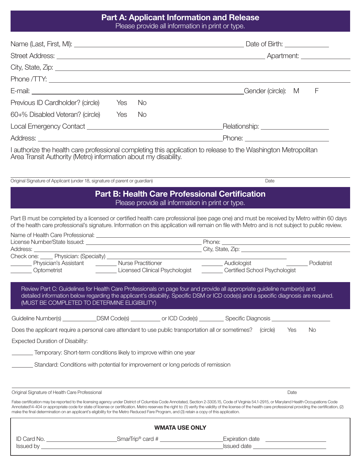#### **Part A: Applicant Information and Release** Please provide all information in print or type.

|                                                                                                                                                                                                                                |  |           | F<br>Gender (circle): M                                                                                                                                                                                                                                                                      |  |  |  |
|--------------------------------------------------------------------------------------------------------------------------------------------------------------------------------------------------------------------------------|--|-----------|----------------------------------------------------------------------------------------------------------------------------------------------------------------------------------------------------------------------------------------------------------------------------------------------|--|--|--|
| Previous ID Cardholder? (circle) Yes                                                                                                                                                                                           |  | No.       |                                                                                                                                                                                                                                                                                              |  |  |  |
| 60+% Disabled Veteran? (circle) Yes                                                                                                                                                                                            |  | <b>No</b> |                                                                                                                                                                                                                                                                                              |  |  |  |
| Local Emergency Contact Learning and the contract of the contract of the contract of the contract of the contract of the contract of the contract of the contract of the contract of the contract of the contract of the contr |  |           | Relationship: ______________________                                                                                                                                                                                                                                                         |  |  |  |
|                                                                                                                                                                                                                                |  |           |                                                                                                                                                                                                                                                                                              |  |  |  |
| Area Transit Authority (Metro) information about my disability.                                                                                                                                                                |  |           | I authorize the health care professional completing this application to release to the Washington Metropolitan                                                                                                                                                                               |  |  |  |
| Original Signature of Applicant (under 18, signature of parent or guardian)                                                                                                                                                    |  |           | Date                                                                                                                                                                                                                                                                                         |  |  |  |
|                                                                                                                                                                                                                                |  |           | <b>Part B: Health Care Professional Certification</b><br>Please provide all information in print or type.                                                                                                                                                                                    |  |  |  |
|                                                                                                                                                                                                                                |  |           | Part B must be completed by a licensed or certified health care professional (see page one) and must be received by Metro within 60 days<br>of the health care professional's signature. Information on this application will remain on file with Metro and is not subject to public review. |  |  |  |
| Name of Health Care Professional:                                                                                                                                                                                              |  |           |                                                                                                                                                                                                                                                                                              |  |  |  |

|                                                                                                                                                                                                                                                                                                                                                                                                                                                                                                                                                           |  |                                     | Phone: <u>International Contract of Contract Contract Contract Contract Contract Contract Contract Contract Contract Contract Contract Contract Contract Contract Contract Contract Contract Contract Contract Contract Contract</u> |  |      |     |
|-----------------------------------------------------------------------------------------------------------------------------------------------------------------------------------------------------------------------------------------------------------------------------------------------------------------------------------------------------------------------------------------------------------------------------------------------------------------------------------------------------------------------------------------------------------|--|-------------------------------------|--------------------------------------------------------------------------------------------------------------------------------------------------------------------------------------------------------------------------------------|--|------|-----|
|                                                                                                                                                                                                                                                                                                                                                                                                                                                                                                                                                           |  |                                     |                                                                                                                                                                                                                                      |  |      |     |
|                                                                                                                                                                                                                                                                                                                                                                                                                                                                                                                                                           |  |                                     |                                                                                                                                                                                                                                      |  |      |     |
|                                                                                                                                                                                                                                                                                                                                                                                                                                                                                                                                                           |  | Audiologist Communication Containst |                                                                                                                                                                                                                                      |  |      |     |
|                                                                                                                                                                                                                                                                                                                                                                                                                                                                                                                                                           |  |                                     |                                                                                                                                                                                                                                      |  |      |     |
| Review Part C: Guidelines for Health Care Professionals on page four and provide all appropriate guideline number(s) and<br>detailed information below regarding the applicant's disability. Specific DSM or ICD code(s) and a specific diagnosis are required.<br>(MUST BE COMPLETED TO DETERMINE ELIGIBILITY)                                                                                                                                                                                                                                           |  |                                     |                                                                                                                                                                                                                                      |  |      |     |
| Guideline Number(s) _____________DSM Code(s) ___________ or ICD Code(s) _________ Specific Diagnosis _______________                                                                                                                                                                                                                                                                                                                                                                                                                                      |  |                                     |                                                                                                                                                                                                                                      |  |      |     |
| Does the applicant require a personal care attendant to use public transportation all or sometimes? (circle)                                                                                                                                                                                                                                                                                                                                                                                                                                              |  |                                     |                                                                                                                                                                                                                                      |  | Yes  | No. |
| <b>Expected Duration of Disability:</b>                                                                                                                                                                                                                                                                                                                                                                                                                                                                                                                   |  |                                     |                                                                                                                                                                                                                                      |  |      |     |
| Temporary: Short-term conditions likely to improve within one year                                                                                                                                                                                                                                                                                                                                                                                                                                                                                        |  |                                     |                                                                                                                                                                                                                                      |  |      |     |
| Standard: Conditions with potential for improvement or long periods of remission                                                                                                                                                                                                                                                                                                                                                                                                                                                                          |  |                                     |                                                                                                                                                                                                                                      |  |      |     |
|                                                                                                                                                                                                                                                                                                                                                                                                                                                                                                                                                           |  |                                     |                                                                                                                                                                                                                                      |  |      |     |
| Original Signature of Health Care Professional                                                                                                                                                                                                                                                                                                                                                                                                                                                                                                            |  |                                     |                                                                                                                                                                                                                                      |  | Date |     |
| False certification may be reported to the licensing agency under District of Columbia Code Annotated, Section 2-3305.15, Code of Virginia 54.1-2915, or Maryland Health Occupations Code<br>Annotated14-404 or appropriate code for state of license or certification. Metro reserves the right to: (1) verify the validity of the license of the health care professional providing the certification, (2)<br>make the final determination on an applicant's eligibility for the Metro Reduced Fare Program, and (3) retain a copy of this application. |  |                                     |                                                                                                                                                                                                                                      |  |      |     |

| .                     |                              |                    |  |  |  |  |  |  |
|-----------------------|------------------------------|--------------------|--|--|--|--|--|--|
| <b>WMATA USE ONLY</b> |                              |                    |  |  |  |  |  |  |
| ID Card No.           | SmarTrip <sup>®</sup> card # | Expiration date    |  |  |  |  |  |  |
| <b>Issued by</b>      |                              | <b>Issued date</b> |  |  |  |  |  |  |